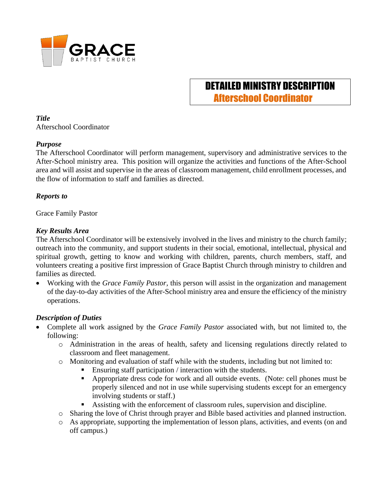

# DETAILED MINISTRY DESCRIPTION Afterschool Coordinator

*Title* Afterschool Coordinator

#### *Purpose*

The Afterschool Coordinator will perform management, supervisory and administrative services to the After-School ministry area. This position will organize the activities and functions of the After-School area and will assist and supervise in the areas of classroom management, child enrollment processes, and the flow of information to staff and families as directed.

#### *Reports to*

Grace Family Pastor

#### *Key Results Area*

The Afterschool Coordinator will be extensively involved in the lives and ministry to the church family; outreach into the community, and support students in their social, emotional, intellectual, physical and spiritual growth, getting to know and working with children, parents, church members, staff, and volunteers creating a positive first impression of Grace Baptist Church through ministry to children and families as directed.

• Working with the *Grace Family Pastor,* this person will assist in the organization and management of the day-to-day activities of the After-School ministry area and ensure the efficiency of the ministry operations.

#### *Description of Duties*

- Complete all work assigned by the *Grace Family Pastor* associated with, but not limited to, the following:
	- o Administration in the areas of health, safety and licensing regulations directly related to classroom and fleet management.
	- o Monitoring and evaluation of staff while with the students, including but not limited to:
		- Ensuring staff participation / interaction with the students.
		- Appropriate dress code for work and all outside events. (Note: cell phones must be properly silenced and not in use while supervising students except for an emergency involving students or staff.)
		- Assisting with the enforcement of classroom rules, supervision and discipline.
	- o Sharing the love of Christ through prayer and Bible based activities and planned instruction.
	- o As appropriate, supporting the implementation of lesson plans, activities, and events (on and off campus.)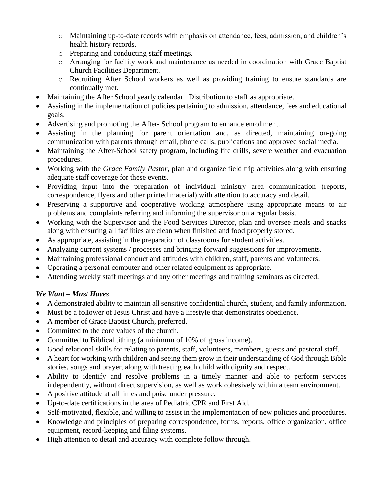- o Maintaining up-to-date records with emphasis on attendance, fees, admission, and children's health history records.
- o Preparing and conducting staff meetings.
- o Arranging for facility work and maintenance as needed in coordination with Grace Baptist Church Facilities Department.
- o Recruiting After School workers as well as providing training to ensure standards are continually met.
- Maintaining the After School yearly calendar. Distribution to staff as appropriate.
- Assisting in the implementation of policies pertaining to admission, attendance, fees and educational goals.
- Advertising and promoting the After- School program to enhance enrollment.
- Assisting in the planning for parent orientation and, as directed, maintaining on-going communication with parents through email, phone calls, publications and approved social media.
- Maintaining the After-School safety program, including fire drills, severe weather and evacuation procedures.
- Working with the *Grace Family Pastor*, plan and organize field trip activities along with ensuring adequate staff coverage for these events.
- Providing input into the preparation of individual ministry area communication (reports, correspondence, flyers and other printed material) with attention to accuracy and detail.
- Preserving a supportive and cooperative working atmosphere using appropriate means to air problems and complaints referring and informing the supervisor on a regular basis.
- Working with the Supervisor and the Food Services Director, plan and oversee meals and snacks along with ensuring all facilities are clean when finished and food properly stored.
- As appropriate, assisting in the preparation of classrooms for student activities.
- Analyzing current systems / processes and bringing forward suggestions for improvements.
- Maintaining professional conduct and attitudes with children, staff, parents and volunteers.
- Operating a personal computer and other related equipment as appropriate.
- Attending weekly staff meetings and any other meetings and training seminars as directed.

## *We Want – Must Haves*

- A demonstrated ability to maintain all sensitive confidential church, student, and family information.
- Must be a follower of Jesus Christ and have a lifestyle that demonstrates obedience.
- A member of Grace Baptist Church, preferred.
- Committed to the core values of the church.
- Committed to Biblical tithing (a minimum of 10% of gross income).
- Good relational skills for relating to parents, staff, volunteers, members, guests and pastoral staff.
- A heart for working with children and seeing them grow in their understanding of God through Bible stories, songs and prayer, along with treating each child with dignity and respect.
- Ability to identify and resolve problems in a timely manner and able to perform services independently, without direct supervision, as well as work cohesively within a team environment.
- A positive attitude at all times and poise under pressure.
- Up-to-date certifications in the area of Pediatric CPR and First Aid.
- Self-motivated, flexible, and willing to assist in the implementation of new policies and procedures.
- Knowledge and principles of preparing correspondence, forms, reports, office organization, office equipment, record-keeping and filing systems.
- High attention to detail and accuracy with complete follow through.